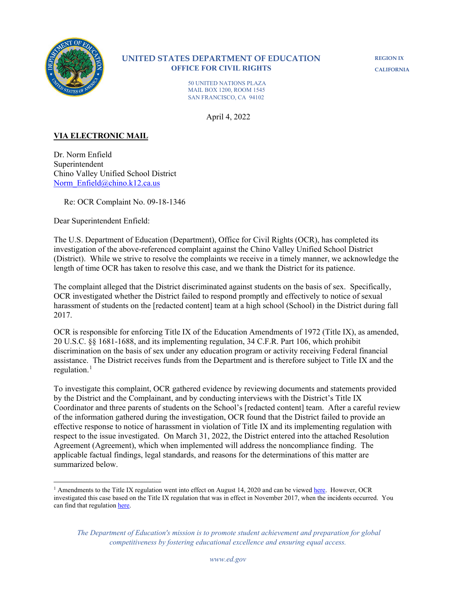

# **UNITED STATES DEPARTMENT OF EDUCATION OFFICE FOR CIVIL RIGHTS**

**REGION IX CALIFORNIA**

50 UNITED NATIONS PLAZA MAIL BOX 1200, ROOM 1545 SAN FRANCISCO, CA 94102

April 4, 2022

# **VIA ELECTRONIC MAIL**

Dr. Norm Enfield Superintendent Chino Valley Unified School District [Norm\\_Enfield@chino.k12.ca.us](mailto:Norm_Enfield@chino.k12.ca.us)

Re: OCR Complaint No. 09-18-1346

Dear Superintendent Enfield:

The U.S. Department of Education (Department), Office for Civil Rights (OCR), has completed its investigation of the above-referenced complaint against the Chino Valley Unified School District (District). While we strive to resolve the complaints we receive in a timely manner, we acknowledge the length of time OCR has taken to resolve this case, and we thank the District for its patience.

The complaint alleged that the District discriminated against students on the basis of sex. Specifically, OCR investigated whether the District failed to respond promptly and effectively to notice of sexual harassment of students on the [redacted content] team at a high school (School) in the District during fall 2017.

OCR is responsible for enforcing Title IX of the Education Amendments of 1972 (Title IX), as amended, 20 U.S.C. §§ 1681-1688, and its implementing regulation, 34 C.F.R. Part 106, which prohibit discrimination on the basis of sex under any education program or activity receiving Federal financial assistance. The District receives funds from the Department and is therefore subject to Title IX and the regulation. $<sup>1</sup>$  $<sup>1</sup>$  $<sup>1</sup>$ </sup>

To investigate this complaint, OCR gathered evidence by reviewing documents and statements provided by the District and the Complainant, and by conducting interviews with the District's Title IX Coordinator and three parents of students on the School's [redacted content] team. After a careful review of the information gathered during the investigation, OCR found that the District failed to provide an effective response to notice of harassment in violation of Title IX and its implementing regulation with respect to the issue investigated. On March 31, 2022, the District entered into the attached Resolution Agreement (Agreement), which when implemented will address the noncompliance finding. The applicable factual findings, legal standards, and reasons for the determinations of this matter are summarized below.

<span id="page-0-0"></span><sup>&</sup>lt;sup>1</sup> Amendments to the Title IX regulation went into effect on August 14, 2020 and can be viewe[d here.](https://www.federalregister.gov/documents/2020/05/19/2020-10512/nondiscrimination-on-the-basis-of-sex-in-education-programs-or-activities-receiving-federal) However, OCR investigated this case based on the Title IX regulation that was in effect in November 2017, when the incidents occurred. You can find that regulation [here.](https://www2.ed.gov/policy/rights/reg/ocr/edlite-34cfr106.html) 

*The Department of Education's mission is to promote student achievement and preparation for global competitiveness by fostering educational excellence and ensuring equal access.*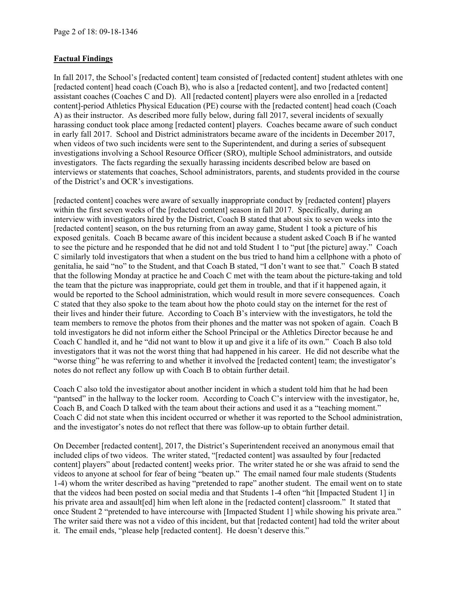## **Factual Findings**

In fall 2017, the School's [redacted content] team consisted of [redacted content] student athletes with one [redacted content] head coach (Coach B), who is also a [redacted content], and two [redacted content] assistant coaches (Coaches C and D). All [redacted content] players were also enrolled in a [redacted content]-period Athletics Physical Education (PE) course with the [redacted content] head coach (Coach A) as their instructor. As described more fully below, during fall 2017, several incidents of sexually harassing conduct took place among [redacted content] players. Coaches became aware of such conduct in early fall 2017. School and District administrators became aware of the incidents in December 2017, when videos of two such incidents were sent to the Superintendent, and during a series of subsequent investigations involving a School Resource Officer (SRO), multiple School administrators, and outside investigators. The facts regarding the sexually harassing incidents described below are based on interviews or statements that coaches, School administrators, parents, and students provided in the course of the District's and OCR's investigations.

[redacted content] coaches were aware of sexually inappropriate conduct by [redacted content] players within the first seven weeks of the [redacted content] season in fall 2017. Specifically, during an interview with investigators hired by the District, Coach B stated that about six to seven weeks into the [redacted content] season, on the bus returning from an away game, Student 1 took a picture of his exposed genitals. Coach B became aware of this incident because a student asked Coach B if he wanted to see the picture and he responded that he did not and told Student 1 to "put [the picture] away." Coach C similarly told investigators that when a student on the bus tried to hand him a cellphone with a photo of genitalia, he said "no" to the Student, and that Coach B stated, "I don't want to see that." Coach B stated that the following Monday at practice he and Coach C met with the team about the picture-taking and told the team that the picture was inappropriate, could get them in trouble, and that if it happened again, it would be reported to the School administration, which would result in more severe consequences. Coach C stated that they also spoke to the team about how the photo could stay on the internet for the rest of their lives and hinder their future. According to Coach B's interview with the investigators, he told the team members to remove the photos from their phones and the matter was not spoken of again. Coach B told investigators he did not inform either the School Principal or the Athletics Director because he and Coach C handled it, and he "did not want to blow it up and give it a life of its own." Coach B also told investigators that it was not the worst thing that had happened in his career. He did not describe what the "worse thing" he was referring to and whether it involved the [redacted content] team; the investigator's notes do not reflect any follow up with Coach B to obtain further detail.

Coach C also told the investigator about another incident in which a student told him that he had been "pantsed" in the hallway to the locker room. According to Coach C's interview with the investigator, he, Coach B, and Coach D talked with the team about their actions and used it as a "teaching moment." Coach C did not state when this incident occurred or whether it was reported to the School administration, and the investigator's notes do not reflect that there was follow-up to obtain further detail.

On December [redacted content], 2017, the District's Superintendent received an anonymous email that included clips of two videos. The writer stated, "[redacted content] was assaulted by four [redacted content] players" about [redacted content] weeks prior. The writer stated he or she was afraid to send the videos to anyone at school for fear of being "beaten up." The email named four male students (Students 1-4) whom the writer described as having "pretended to rape" another student. The email went on to state that the videos had been posted on social media and that Students 1-4 often "hit [Impacted Student 1] in his private area and assault [ed] him when left alone in the [redacted content] classroom." It stated that once Student 2 "pretended to have intercourse with [Impacted Student 1] while showing his private area." The writer said there was not a video of this incident, but that [redacted content] had told the writer about it. The email ends, "please help [redacted content]. He doesn't deserve this."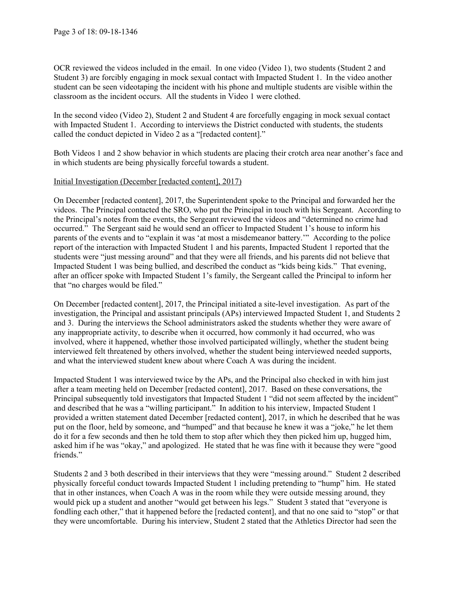OCR reviewed the videos included in the email. In one video (Video 1), two students (Student 2 and Student 3) are forcibly engaging in mock sexual contact with Impacted Student 1. In the video another student can be seen videotaping the incident with his phone and multiple students are visible within the classroom as the incident occurs. All the students in Video 1 were clothed.

In the second video (Video 2), Student 2 and Student 4 are forcefully engaging in mock sexual contact with Impacted Student 1. According to interviews the District conducted with students, the students called the conduct depicted in Video 2 as a "[redacted content]."

Both Videos 1 and 2 show behavior in which students are placing their crotch area near another's face and in which students are being physically forceful towards a student.

### Initial Investigation (December [redacted content], 2017)

On December [redacted content], 2017, the Superintendent spoke to the Principal and forwarded her the videos. The Principal contacted the SRO, who put the Principal in touch with his Sergeant. According to the Principal's notes from the events, the Sergeant reviewed the videos and "determined no crime had occurred." The Sergeant said he would send an officer to Impacted Student 1's house to inform his parents of the events and to "explain it was 'at most a misdemeanor battery.'" According to the police report of the interaction with Impacted Student 1 and his parents, Impacted Student 1 reported that the students were "just messing around" and that they were all friends, and his parents did not believe that Impacted Student 1 was being bullied, and described the conduct as "kids being kids." That evening, after an officer spoke with Impacted Student 1's family, the Sergeant called the Principal to inform her that "no charges would be filed."

On December [redacted content], 2017, the Principal initiated a site-level investigation. As part of the investigation, the Principal and assistant principals (APs) interviewed Impacted Student 1, and Students 2 and 3. During the interviews the School administrators asked the students whether they were aware of any inappropriate activity, to describe when it occurred, how commonly it had occurred, who was involved, where it happened, whether those involved participated willingly, whether the student being interviewed felt threatened by others involved, whether the student being interviewed needed supports, and what the interviewed student knew about where Coach A was during the incident.

Impacted Student 1 was interviewed twice by the APs, and the Principal also checked in with him just after a team meeting held on December [redacted content], 2017. Based on these conversations, the Principal subsequently told investigators that Impacted Student 1 "did not seem affected by the incident" and described that he was a "willing participant." In addition to his interview, Impacted Student 1 provided a written statement dated December [redacted content], 2017, in which he described that he was put on the floor, held by someone, and "humped" and that because he knew it was a "joke," he let them do it for a few seconds and then he told them to stop after which they then picked him up, hugged him, asked him if he was "okay," and apologized. He stated that he was fine with it because they were "good friends."

Students 2 and 3 both described in their interviews that they were "messing around." Student 2 described physically forceful conduct towards Impacted Student 1 including pretending to "hump" him. He stated that in other instances, when Coach A was in the room while they were outside messing around, they would pick up a student and another "would get between his legs." Student 3 stated that "everyone is fondling each other," that it happened before the [redacted content], and that no one said to "stop" or that they were uncomfortable. During his interview, Student 2 stated that the Athletics Director had seen the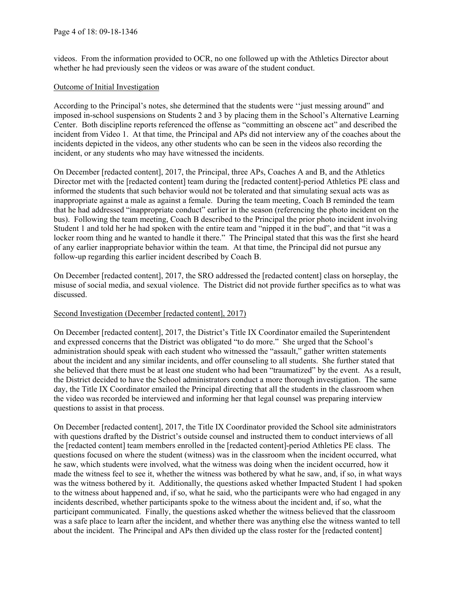videos. From the information provided to OCR, no one followed up with the Athletics Director about whether he had previously seen the videos or was aware of the student conduct.

#### Outcome of Initial Investigation

According to the Principal's notes, she determined that the students were ''just messing around" and imposed in-school suspensions on Students 2 and 3 by placing them in the School's Alternative Learning Center. Both discipline reports referenced the offense as "committing an obscene act" and described the incident from Video 1. At that time, the Principal and APs did not interview any of the coaches about the incidents depicted in the videos, any other students who can be seen in the videos also recording the incident, or any students who may have witnessed the incidents.

On December [redacted content], 2017, the Principal, three APs, Coaches A and B, and the Athletics Director met with the [redacted content] team during the [redacted content]-period Athletics PE class and informed the students that such behavior would not be tolerated and that simulating sexual acts was as inappropriate against a male as against a female. During the team meeting, Coach B reminded the team that he had addressed "inappropriate conduct" earlier in the season (referencing the photo incident on the bus). Following the team meeting, Coach B described to the Principal the prior photo incident involving Student 1 and told her he had spoken with the entire team and "nipped it in the bud", and that "it was a locker room thing and he wanted to handle it there." The Principal stated that this was the first she heard of any earlier inappropriate behavior within the team. At that time, the Principal did not pursue any follow-up regarding this earlier incident described by Coach B.

On December [redacted content], 2017, the SRO addressed the [redacted content] class on horseplay, the misuse of social media, and sexual violence. The District did not provide further specifics as to what was discussed.

#### Second Investigation (December [redacted content], 2017)

On December [redacted content], 2017, the District's Title IX Coordinator emailed the Superintendent and expressed concerns that the District was obligated "to do more." She urged that the School's administration should speak with each student who witnessed the "assault," gather written statements about the incident and any similar incidents, and offer counseling to all students. She further stated that she believed that there must be at least one student who had been "traumatized" by the event. As a result, the District decided to have the School administrators conduct a more thorough investigation. The same day, the Title IX Coordinator emailed the Principal directing that all the students in the classroom when the video was recorded be interviewed and informing her that legal counsel was preparing interview questions to assist in that process.

On December [redacted content], 2017, the Title IX Coordinator provided the School site administrators with questions drafted by the District's outside counsel and instructed them to conduct interviews of all the [redacted content] team members enrolled in the [redacted content]-period Athletics PE class. The questions focused on where the student (witness) was in the classroom when the incident occurred, what he saw, which students were involved, what the witness was doing when the incident occurred, how it made the witness feel to see it, whether the witness was bothered by what he saw, and, if so, in what ways was the witness bothered by it. Additionally, the questions asked whether Impacted Student 1 had spoken to the witness about happened and, if so, what he said, who the participants were who had engaged in any incidents described, whether participants spoke to the witness about the incident and, if so, what the participant communicated. Finally, the questions asked whether the witness believed that the classroom was a safe place to learn after the incident, and whether there was anything else the witness wanted to tell about the incident. The Principal and APs then divided up the class roster for the [redacted content]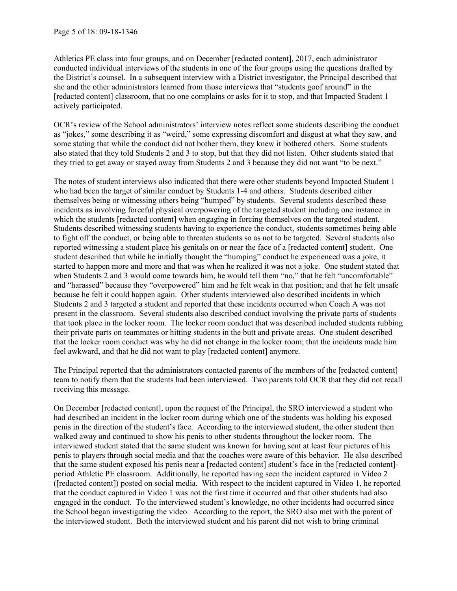Athletics PE class into four groups, and on December [redacted content], 2017, each administrator conducted individual interviews of the students in one of the four groups using the questions drafted by the District's counsel. In a subsequent interview with a District investigator, the Principal described that she and the other administrators learned from those interviews that "students goof around" in the [redacted content] classroom, that no one complains or asks for it to stop, and that Impacted Student 1 actively participated.

OCR's review of the School administrators' interview notes reflect some students describing the conduct as "jokes," some describing it as "weird," some expressing discomfort and disgust at what they saw, and some stating that while the conduct did not bother them, they knew it bothered others. Some students also stated that they told Students 2 and 3 to stop, but that they did not listen. Other students stated that they tried to get away or stayed away from Students 2 and 3 because they did not want "to be next."

The notes of student interviews also indicated that there were other students beyond Impacted Student 1 who had been the target of similar conduct by Students 1-4 and others. Students described either themselves being or witnessing others being "humped" by students. Several students described these incidents as involving forceful physical overpowering of the targeted student including one instance in which the students [redacted content] when engaging in forcing themselves on the targeted student. Students described witnessing students having to experience the conduct, students sometimes being able to fight off the conduct, or being able to threaten students so as not to be targeted. Several students also reported witnessing a student place his genitals on or near the face of a [redacted content] student. One student described that while he initially thought the "humping" conduct he experienced was a joke, it started to happen more and more and that was when he realized it was not a joke. One student stated that when Students 2 and 3 would come towards him, he would tell them "no," that he felt "uncomfortable" and "harassed" because they "overpowered" him and he felt weak in that position; and that he felt unsafe because he felt it could happen again. Other students interviewed also described incidents in which Students 2 and 3 targeted a student and reported that these incidents occurred when Coach A was not present in the classroom. Several students also described conduct involving the private parts of students that took place in the locker room. The locker room conduct that was described included students rubbing their private parts on teammates or hitting students in the butt and private areas. One student described that the locker room conduct was why he did not change in the locker room; that the incidents made him feel awkward, and that he did not want to play [redacted content] anymore.

The Principal reported that the administrators contacted parents of the members of the [redacted content] team to notify them that the students had been interviewed. Two parents told OCR that they did not recall receiving this message.

On December [redacted content], upon the request of the Principal, the SRO interviewed a student who had described an incident in the locker room during which one of the students was holding his exposed penis in the direction of the student's face. According to the interviewed student, the other student then walked away and continued to show his penis to other students throughout the locker room. The interviewed student stated that the same student was known for having sent at least four pictures of his penis to players through social media and that the coaches were aware of this behavior. He also described that the same student exposed his penis near a [redacted content] student's face in the [redacted content] period Athletic PE classroom. Additionally, he reported having seen the incident captured in Video 2 ([redacted content]) posted on social media. With respect to the incident captured in Video 1, he reported that the conduct captured in Video 1 was not the first time it occurred and that other students had also engaged in the conduct. To the interviewed student's knowledge, no other incidents had occurred since the School began investigating the video. According to the report, the SRO also met with the parent of the interviewed student. Both the interviewed student and his parent did not wish to bring criminal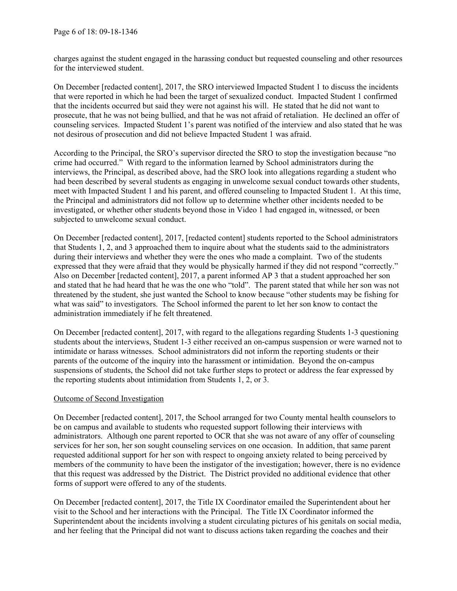charges against the student engaged in the harassing conduct but requested counseling and other resources for the interviewed student.

On December [redacted content], 2017, the SRO interviewed Impacted Student 1 to discuss the incidents that were reported in which he had been the target of sexualized conduct. Impacted Student 1 confirmed that the incidents occurred but said they were not against his will. He stated that he did not want to prosecute, that he was not being bullied, and that he was not afraid of retaliation. He declined an offer of counseling services. Impacted Student 1's parent was notified of the interview and also stated that he was not desirous of prosecution and did not believe Impacted Student 1 was afraid.

According to the Principal, the SRO's supervisor directed the SRO to stop the investigation because "no crime had occurred." With regard to the information learned by School administrators during the interviews, the Principal, as described above, had the SRO look into allegations regarding a student who had been described by several students as engaging in unwelcome sexual conduct towards other students, meet with Impacted Student 1 and his parent, and offered counseling to Impacted Student 1. At this time, the Principal and administrators did not follow up to determine whether other incidents needed to be investigated, or whether other students beyond those in Video 1 had engaged in, witnessed, or been subjected to unwelcome sexual conduct.

On December [redacted content], 2017, [redacted content] students reported to the School administrators that Students 1, 2, and 3 approached them to inquire about what the students said to the administrators during their interviews and whether they were the ones who made a complaint. Two of the students expressed that they were afraid that they would be physically harmed if they did not respond "correctly." Also on December [redacted content], 2017, a parent informed AP 3 that a student approached her son and stated that he had heard that he was the one who "told". The parent stated that while her son was not threatened by the student, she just wanted the School to know because "other students may be fishing for what was said" to investigators. The School informed the parent to let her son know to contact the administration immediately if he felt threatened.

On December [redacted content], 2017, with regard to the allegations regarding Students 1-3 questioning students about the interviews, Student 1-3 either received an on-campus suspension or were warned not to intimidate or harass witnesses. School administrators did not inform the reporting students or their parents of the outcome of the inquiry into the harassment or intimidation. Beyond the on-campus suspensions of students, the School did not take further steps to protect or address the fear expressed by the reporting students about intimidation from Students 1, 2, or 3.

#### Outcome of Second Investigation

On December [redacted content], 2017, the School arranged for two County mental health counselors to be on campus and available to students who requested support following their interviews with administrators. Although one parent reported to OCR that she was not aware of any offer of counseling services for her son, her son sought counseling services on one occasion. In addition, that same parent requested additional support for her son with respect to ongoing anxiety related to being perceived by members of the community to have been the instigator of the investigation; however, there is no evidence that this request was addressed by the District. The District provided no additional evidence that other forms of support were offered to any of the students.

On December [redacted content], 2017, the Title IX Coordinator emailed the Superintendent about her visit to the School and her interactions with the Principal. The Title IX Coordinator informed the Superintendent about the incidents involving a student circulating pictures of his genitals on social media, and her feeling that the Principal did not want to discuss actions taken regarding the coaches and their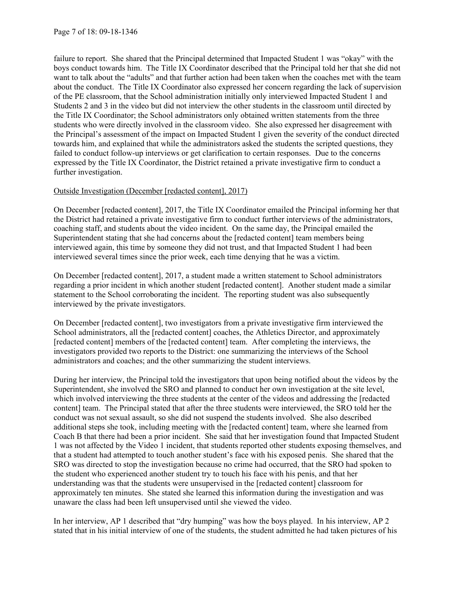failure to report. She shared that the Principal determined that Impacted Student 1 was "okay" with the boys conduct towards him. The Title IX Coordinator described that the Principal told her that she did not want to talk about the "adults" and that further action had been taken when the coaches met with the team about the conduct. The Title IX Coordinator also expressed her concern regarding the lack of supervision of the PE classroom, that the School administration initially only interviewed Impacted Student 1 and Students 2 and 3 in the video but did not interview the other students in the classroom until directed by the Title IX Coordinator; the School administrators only obtained written statements from the three students who were directly involved in the classroom video. She also expressed her disagreement with the Principal's assessment of the impact on Impacted Student 1 given the severity of the conduct directed towards him, and explained that while the administrators asked the students the scripted questions, they failed to conduct follow-up interviews or get clarification to certain responses. Due to the concerns expressed by the Title IX Coordinator, the District retained a private investigative firm to conduct a further investigation.

### Outside Investigation (December [redacted content], 2017)

On December [redacted content], 2017, the Title IX Coordinator emailed the Principal informing her that the District had retained a private investigative firm to conduct further interviews of the administrators, coaching staff, and students about the video incident. On the same day, the Principal emailed the Superintendent stating that she had concerns about the [redacted content] team members being interviewed again, this time by someone they did not trust, and that Impacted Student 1 had been interviewed several times since the prior week, each time denying that he was a victim.

On December [redacted content], 2017, a student made a written statement to School administrators regarding a prior incident in which another student [redacted content]. Another student made a similar statement to the School corroborating the incident. The reporting student was also subsequently interviewed by the private investigators.

On December [redacted content], two investigators from a private investigative firm interviewed the School administrators, all the [redacted content] coaches, the Athletics Director, and approximately [redacted content] members of the [redacted content] team. After completing the interviews, the investigators provided two reports to the District: one summarizing the interviews of the School administrators and coaches; and the other summarizing the student interviews.

During her interview, the Principal told the investigators that upon being notified about the videos by the Superintendent, she involved the SRO and planned to conduct her own investigation at the site level, which involved interviewing the three students at the center of the videos and addressing the [redacted content] team. The Principal stated that after the three students were interviewed, the SRO told her the conduct was not sexual assault, so she did not suspend the students involved. She also described additional steps she took, including meeting with the [redacted content] team, where she learned from Coach B that there had been a prior incident. She said that her investigation found that Impacted Student 1 was not affected by the Video 1 incident, that students reported other students exposing themselves, and that a student had attempted to touch another student's face with his exposed penis. She shared that the SRO was directed to stop the investigation because no crime had occurred, that the SRO had spoken to the student who experienced another student try to touch his face with his penis, and that her understanding was that the students were unsupervised in the [redacted content] classroom for approximately ten minutes. She stated she learned this information during the investigation and was unaware the class had been left unsupervised until she viewed the video.

In her interview, AP 1 described that "dry humping" was how the boys played. In his interview, AP 2 stated that in his initial interview of one of the students, the student admitted he had taken pictures of his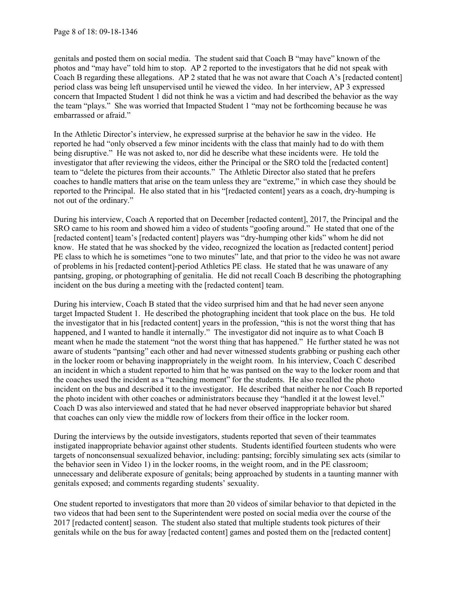genitals and posted them on social media. The student said that Coach B "may have" known of the photos and "may have" told him to stop. AP 2 reported to the investigators that he did not speak with Coach B regarding these allegations. AP 2 stated that he was not aware that Coach A's [redacted content] period class was being left unsupervised until he viewed the video. In her interview, AP 3 expressed concern that Impacted Student 1 did not think he was a victim and had described the behavior as the way the team "plays." She was worried that Impacted Student 1 "may not be forthcoming because he was embarrassed or afraid."

In the Athletic Director's interview, he expressed surprise at the behavior he saw in the video. He reported he had "only observed a few minor incidents with the class that mainly had to do with them being disruptive." He was not asked to, nor did he describe what these incidents were. He told the investigator that after reviewing the videos, either the Principal or the SRO told the [redacted content] team to "delete the pictures from their accounts." The Athletic Director also stated that he prefers coaches to handle matters that arise on the team unless they are "extreme," in which case they should be reported to the Principal. He also stated that in his "[redacted content] years as a coach, dry-humping is not out of the ordinary."

During his interview, Coach A reported that on December [redacted content], 2017, the Principal and the SRO came to his room and showed him a video of students "goofing around." He stated that one of the [redacted content] team's [redacted content] players was "dry-humping other kids" whom he did not know. He stated that he was shocked by the video, recognized the location as [redacted content] period PE class to which he is sometimes "one to two minutes" late, and that prior to the video he was not aware of problems in his [redacted content]-period Athletics PE class. He stated that he was unaware of any pantsing, groping, or photographing of genitalia. He did not recall Coach B describing the photographing incident on the bus during a meeting with the [redacted content] team.

During his interview, Coach B stated that the video surprised him and that he had never seen anyone target Impacted Student 1. He described the photographing incident that took place on the bus. He told the investigator that in his [redacted content] years in the profession, "this is not the worst thing that has happened, and I wanted to handle it internally." The investigator did not inquire as to what Coach B meant when he made the statement "not the worst thing that has happened." He further stated he was not aware of students "pantsing" each other and had never witnessed students grabbing or pushing each other in the locker room or behaving inappropriately in the weight room. In his interview, Coach C described an incident in which a student reported to him that he was pantsed on the way to the locker room and that the coaches used the incident as a "teaching moment" for the students. He also recalled the photo incident on the bus and described it to the investigator. He described that neither he nor Coach B reported the photo incident with other coaches or administrators because they "handled it at the lowest level." Coach D was also interviewed and stated that he had never observed inappropriate behavior but shared that coaches can only view the middle row of lockers from their office in the locker room.

During the interviews by the outside investigators, students reported that seven of their teammates instigated inappropriate behavior against other students. Students identified fourteen students who were targets of nonconsensual sexualized behavior, including: pantsing; forcibly simulating sex acts (similar to the behavior seen in Video 1) in the locker rooms, in the weight room, and in the PE classroom; unnecessary and deliberate exposure of genitals; being approached by students in a taunting manner with genitals exposed; and comments regarding students' sexuality.

One student reported to investigators that more than 20 videos of similar behavior to that depicted in the two videos that had been sent to the Superintendent were posted on social media over the course of the 2017 [redacted content] season. The student also stated that multiple students took pictures of their genitals while on the bus for away [redacted content] games and posted them on the [redacted content]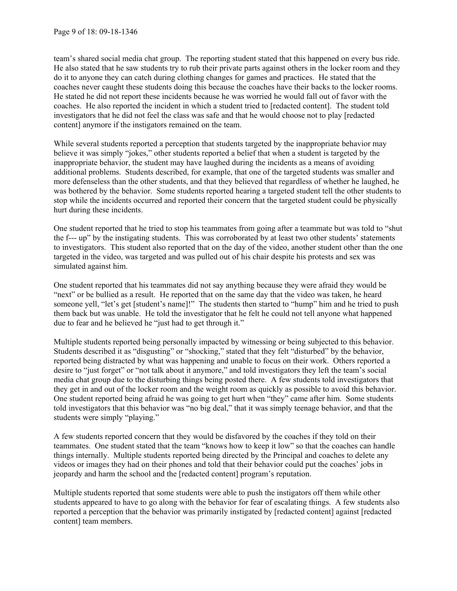team's shared social media chat group. The reporting student stated that this happened on every bus ride. He also stated that he saw students try to rub their private parts against others in the locker room and they do it to anyone they can catch during clothing changes for games and practices. He stated that the coaches never caught these students doing this because the coaches have their backs to the locker rooms. He stated he did not report these incidents because he was worried he would fall out of favor with the coaches. He also reported the incident in which a student tried to [redacted content]. The student told investigators that he did not feel the class was safe and that he would choose not to play [redacted content] anymore if the instigators remained on the team.

While several students reported a perception that students targeted by the inappropriate behavior may believe it was simply "jokes," other students reported a belief that when a student is targeted by the inappropriate behavior, the student may have laughed during the incidents as a means of avoiding additional problems. Students described, for example, that one of the targeted students was smaller and more defenseless than the other students, and that they believed that regardless of whether he laughed, he was bothered by the behavior. Some students reported hearing a targeted student tell the other students to stop while the incidents occurred and reported their concern that the targeted student could be physically hurt during these incidents.

One student reported that he tried to stop his teammates from going after a teammate but was told to "shut the f--- up" by the instigating students. This was corroborated by at least two other students' statements to investigators. This student also reported that on the day of the video, another student other than the one targeted in the video, was targeted and was pulled out of his chair despite his protests and sex was simulated against him.

One student reported that his teammates did not say anything because they were afraid they would be "next" or be bullied as a result. He reported that on the same day that the video was taken, he heard someone yell, "let's get [student's name]!" The students then started to "hump" him and he tried to push them back but was unable. He told the investigator that he felt he could not tell anyone what happened due to fear and he believed he "just had to get through it."

Multiple students reported being personally impacted by witnessing or being subjected to this behavior. Students described it as "disgusting" or "shocking," stated that they felt "disturbed" by the behavior, reported being distracted by what was happening and unable to focus on their work. Others reported a desire to "just forget" or "not talk about it anymore," and told investigators they left the team's social media chat group due to the disturbing things being posted there. A few students told investigators that they get in and out of the locker room and the weight room as quickly as possible to avoid this behavior. One student reported being afraid he was going to get hurt when "they" came after him. Some students told investigators that this behavior was "no big deal," that it was simply teenage behavior, and that the students were simply "playing."

A few students reported concern that they would be disfavored by the coaches if they told on their teammates. One student stated that the team "knows how to keep it low" so that the coaches can handle things internally. Multiple students reported being directed by the Principal and coaches to delete any videos or images they had on their phones and told that their behavior could put the coaches' jobs in jeopardy and harm the school and the [redacted content] program's reputation.

Multiple students reported that some students were able to push the instigators off them while other students appeared to have to go along with the behavior for fear of escalating things. A few students also reported a perception that the behavior was primarily instigated by [redacted content] against [redacted content] team members.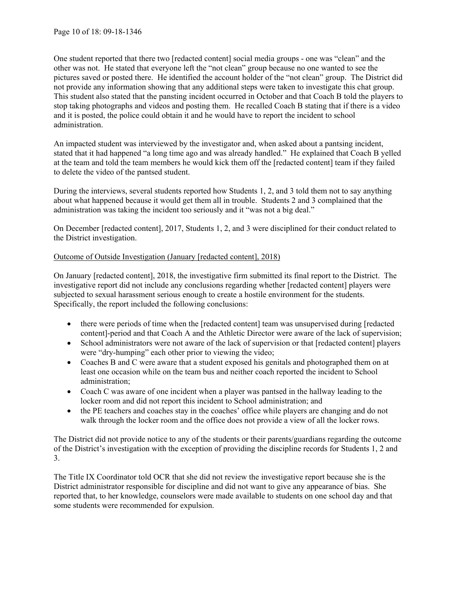One student reported that there two [redacted content] social media groups - one was "clean" and the other was not. He stated that everyone left the "not clean" group because no one wanted to see the pictures saved or posted there. He identified the account holder of the "not clean" group. The District did not provide any information showing that any additional steps were taken to investigate this chat group. This student also stated that the pansting incident occurred in October and that Coach B told the players to stop taking photographs and videos and posting them. He recalled Coach B stating that if there is a video and it is posted, the police could obtain it and he would have to report the incident to school administration.

An impacted student was interviewed by the investigator and, when asked about a pantsing incident, stated that it had happened "a long time ago and was already handled." He explained that Coach B yelled at the team and told the team members he would kick them off the [redacted content] team if they failed to delete the video of the pantsed student.

During the interviews, several students reported how Students 1, 2, and 3 told them not to say anything about what happened because it would get them all in trouble. Students 2 and 3 complained that the administration was taking the incident too seriously and it "was not a big deal."

On December [redacted content], 2017, Students 1, 2, and 3 were disciplined for their conduct related to the District investigation.

# Outcome of Outside Investigation (January [redacted content], 2018)

On January [redacted content], 2018, the investigative firm submitted its final report to the District. The investigative report did not include any conclusions regarding whether [redacted content] players were subjected to sexual harassment serious enough to create a hostile environment for the students. Specifically, the report included the following conclusions:

- there were periods of time when the [redacted content] team was unsupervised during [redacted content]-period and that Coach A and the Athletic Director were aware of the lack of supervision;
- School administrators were not aware of the lack of supervision or that [redacted content] players were "dry-humping" each other prior to viewing the video;
- Coaches B and C were aware that a student exposed his genitals and photographed them on at least one occasion while on the team bus and neither coach reported the incident to School administration;
- Coach C was aware of one incident when a player was pantsed in the hallway leading to the locker room and did not report this incident to School administration; and
- the PE teachers and coaches stay in the coaches' office while players are changing and do not walk through the locker room and the office does not provide a view of all the locker rows.

The District did not provide notice to any of the students or their parents/guardians regarding the outcome of the District's investigation with the exception of providing the discipline records for Students 1, 2 and 3.

The Title IX Coordinator told OCR that she did not review the investigative report because she is the District administrator responsible for discipline and did not want to give any appearance of bias. She reported that, to her knowledge, counselors were made available to students on one school day and that some students were recommended for expulsion.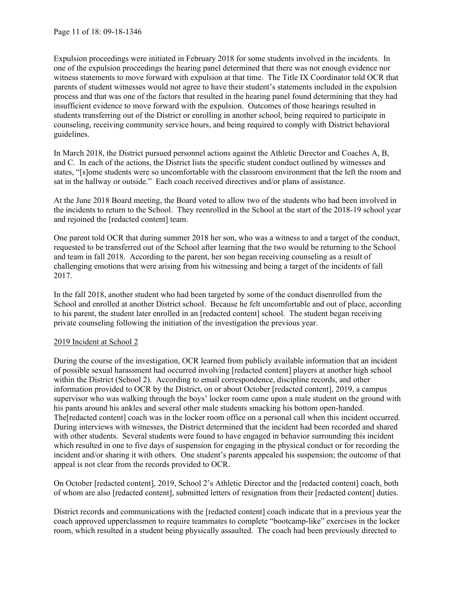Expulsion proceedings were initiated in February 2018 for some students involved in the incidents. In one of the expulsion proceedings the hearing panel determined that there was not enough evidence nor witness statements to move forward with expulsion at that time. The Title IX Coordinator told OCR that parents of student witnesses would not agree to have their student's statements included in the expulsion process and that was one of the factors that resulted in the hearing panel found determining that they had insufficient evidence to move forward with the expulsion. Outcomes of those hearings resulted in students transferring out of the District or enrolling in another school, being required to participate in counseling, receiving community service hours, and being required to comply with District behavioral guidelines.

In March 2018, the District pursued personnel actions against the Athletic Director and Coaches A, B, and C. In each of the actions, the District lists the specific student conduct outlined by witnesses and states, "[s]ome students were so uncomfortable with the classroom environment that the left the room and sat in the hallway or outside." Each coach received directives and/or plans of assistance.

At the June 2018 Board meeting, the Board voted to allow two of the students who had been involved in the incidents to return to the School. They reenrolled in the School at the start of the 2018-19 school year and rejoined the [redacted content] team.

One parent told OCR that during summer 2018 her son, who was a witness to and a target of the conduct, requested to be transferred out of the School after learning that the two would be returning to the School and team in fall 2018. According to the parent, her son began receiving counseling as a result of challenging emotions that were arising from his witnessing and being a target of the incidents of fall 2017.

In the fall 2018, another student who had been targeted by some of the conduct disenrolled from the School and enrolled at another District school. Because he felt uncomfortable and out of place, according to his parent, the student later enrolled in an [redacted content] school. The student began receiving private counseling following the initiation of the investigation the previous year.

### 2019 Incident at School 2

During the course of the investigation, OCR learned from publicly available information that an incident of possible sexual harassment had occurred involving [redacted content] players at another high school within the District (School 2). According to email correspondence, discipline records, and other information provided to OCR by the District, on or about October [redacted content], 2019, a campus supervisor who was walking through the boys' locker room came upon a male student on the ground with his pants around his ankles and several other male students smacking his bottom open-handed. The[redacted content] coach was in the locker room office on a personal call when this incident occurred. During interviews with witnesses, the District determined that the incident had been recorded and shared with other students. Several students were found to have engaged in behavior surrounding this incident which resulted in one to five days of suspension for engaging in the physical conduct or for recording the incident and/or sharing it with others. One student's parents appealed his suspension; the outcome of that appeal is not clear from the records provided to OCR.

On October [redacted content], 2019, School 2's Athletic Director and the [redacted content] coach, both of whom are also [redacted content], submitted letters of resignation from their [redacted content] duties.

District records and communications with the [redacted content] coach indicate that in a previous year the coach approved upperclassmen to require teammates to complete "bootcamp-like" exercises in the locker room, which resulted in a student being physically assaulted. The coach had been previously directed to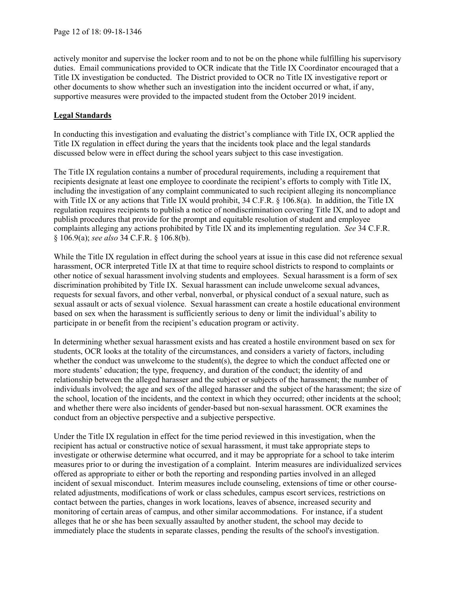actively monitor and supervise the locker room and to not be on the phone while fulfilling his supervisory duties. Email communications provided to OCR indicate that the Title IX Coordinator encouraged that a Title IX investigation be conducted. The District provided to OCR no Title IX investigative report or other documents to show whether such an investigation into the incident occurred or what, if any, supportive measures were provided to the impacted student from the October 2019 incident.

## **Legal Standards**

In conducting this investigation and evaluating the district's compliance with Title IX, OCR applied the Title IX regulation in effect during the years that the incidents took place and the legal standards discussed below were in effect during the school years subject to this case investigation.

The Title IX regulation contains a number of procedural requirements, including a requirement that recipients designate at least one employee to coordinate the recipient's efforts to comply with Title IX, including the investigation of any complaint communicated to such recipient alleging its noncompliance with Title IX or any actions that Title IX would prohibit, 34 C.F.R. § 106.8(a). In addition, the Title IX regulation requires recipients to publish a notice of nondiscrimination covering Title IX, and to adopt and publish procedures that provide for the prompt and equitable resolution of student and employee complaints alleging any actions prohibited by Title IX and its implementing regulation. *See* 34 C.F.R. § 106.9(a); *see also* 34 C.F.R. § 106.8(b).

While the Title IX regulation in effect during the school years at issue in this case did not reference sexual harassment, OCR interpreted Title IX at that time to require school districts to respond to complaints or other notice of sexual harassment involving students and employees. Sexual harassment is a form of sex discrimination prohibited by Title IX. Sexual harassment can include unwelcome sexual advances, requests for sexual favors, and other verbal, nonverbal, or physical conduct of a sexual nature, such as sexual assault or acts of sexual violence. Sexual harassment can create a hostile educational environment based on sex when the harassment is sufficiently serious to deny or limit the individual's ability to participate in or benefit from the recipient's education program or activity.

In determining whether sexual harassment exists and has created a hostile environment based on sex for students, OCR looks at the totality of the circumstances, and considers a variety of factors, including whether the conduct was unwelcome to the student(s), the degree to which the conduct affected one or more students' education; the type, frequency, and duration of the conduct; the identity of and relationship between the alleged harasser and the subject or subjects of the harassment; the number of individuals involved; the age and sex of the alleged harasser and the subject of the harassment; the size of the school, location of the incidents, and the context in which they occurred; other incidents at the school; and whether there were also incidents of gender-based but non-sexual harassment. OCR examines the conduct from an objective perspective and a subjective perspective.

Under the Title IX regulation in effect for the time period reviewed in this investigation, when the recipient has actual or constructive notice of sexual harassment, it must take appropriate steps to investigate or otherwise determine what occurred, and it may be appropriate for a school to take interim measures prior to or during the investigation of a complaint. Interim measures are individualized services offered as appropriate to either or both the reporting and responding parties involved in an alleged incident of sexual misconduct. Interim measures include counseling, extensions of time or other courserelated adjustments, modifications of work or class schedules, campus escort services, restrictions on contact between the parties, changes in work locations, leaves of absence, increased security and monitoring of certain areas of campus, and other similar accommodations. For instance, if a student alleges that he or she has been sexually assaulted by another student, the school may decide to immediately place the students in separate classes, pending the results of the school's investigation.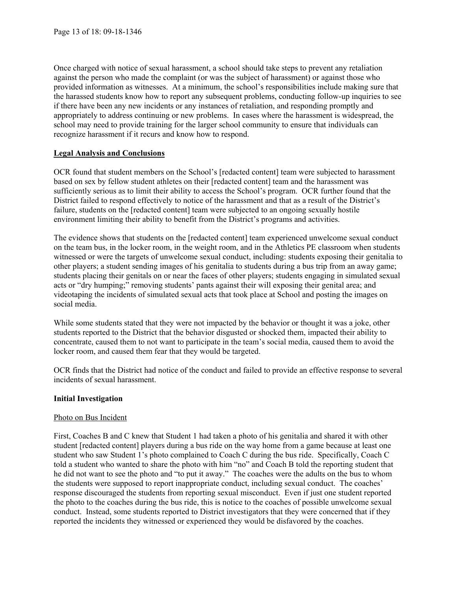Once charged with notice of sexual harassment, a school should take steps to prevent any retaliation against the person who made the complaint (or was the subject of harassment) or against those who provided information as witnesses. At a minimum, the school's responsibilities include making sure that the harassed students know how to report any subsequent problems, conducting follow-up inquiries to see if there have been any new incidents or any instances of retaliation, and responding promptly and appropriately to address continuing or new problems. In cases where the harassment is widespread, the school may need to provide training for the larger school community to ensure that individuals can recognize harassment if it recurs and know how to respond.

# **Legal Analysis and Conclusions**

OCR found that student members on the School's [redacted content] team were subjected to harassment based on sex by fellow student athletes on their [redacted content] team and the harassment was sufficiently serious as to limit their ability to access the School's program. OCR further found that the District failed to respond effectively to notice of the harassment and that as a result of the District's failure, students on the [redacted content] team were subjected to an ongoing sexually hostile environment limiting their ability to benefit from the District's programs and activities.

The evidence shows that students on the [redacted content] team experienced unwelcome sexual conduct on the team bus, in the locker room, in the weight room, and in the Athletics PE classroom when students witnessed or were the targets of unwelcome sexual conduct, including: students exposing their genitalia to other players; a student sending images of his genitalia to students during a bus trip from an away game; students placing their genitals on or near the faces of other players; students engaging in simulated sexual acts or "dry humping;" removing students' pants against their will exposing their genital area; and videotaping the incidents of simulated sexual acts that took place at School and posting the images on social media.

While some students stated that they were not impacted by the behavior or thought it was a joke, other students reported to the District that the behavior disgusted or shocked them, impacted their ability to concentrate, caused them to not want to participate in the team's social media, caused them to avoid the locker room, and caused them fear that they would be targeted.

OCR finds that the District had notice of the conduct and failed to provide an effective response to several incidents of sexual harassment.

# **Initial Investigation**

### Photo on Bus Incident

First, Coaches B and C knew that Student 1 had taken a photo of his genitalia and shared it with other student [redacted content] players during a bus ride on the way home from a game because at least one student who saw Student 1's photo complained to Coach C during the bus ride. Specifically, Coach C told a student who wanted to share the photo with him "no" and Coach B told the reporting student that he did not want to see the photo and "to put it away." The coaches were the adults on the bus to whom the students were supposed to report inappropriate conduct, including sexual conduct. The coaches' response discouraged the students from reporting sexual misconduct. Even if just one student reported the photo to the coaches during the bus ride, this is notice to the coaches of possible unwelcome sexual conduct. Instead, some students reported to District investigators that they were concerned that if they reported the incidents they witnessed or experienced they would be disfavored by the coaches.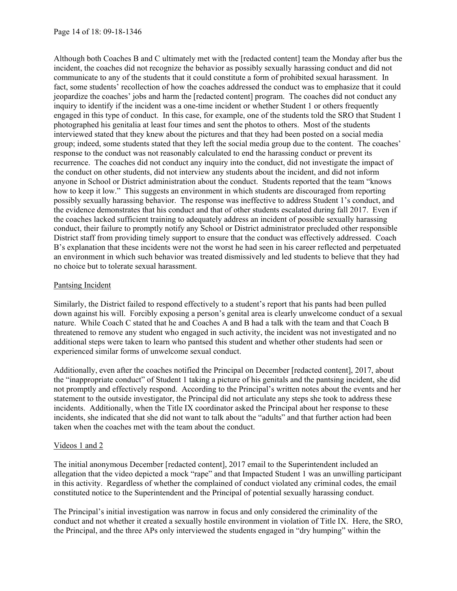Although both Coaches B and C ultimately met with the [redacted content] team the Monday after bus the incident, the coaches did not recognize the behavior as possibly sexually harassing conduct and did not communicate to any of the students that it could constitute a form of prohibited sexual harassment. In fact, some students' recollection of how the coaches addressed the conduct was to emphasize that it could jeopardize the coaches' jobs and harm the [redacted content] program. The coaches did not conduct any inquiry to identify if the incident was a one-time incident or whether Student 1 or others frequently engaged in this type of conduct. In this case, for example, one of the students told the SRO that Student 1 photographed his genitalia at least four times and sent the photos to others. Most of the students interviewed stated that they knew about the pictures and that they had been posted on a social media group; indeed, some students stated that they left the social media group due to the content. The coaches' response to the conduct was not reasonably calculated to end the harassing conduct or prevent its recurrence. The coaches did not conduct any inquiry into the conduct, did not investigate the impact of the conduct on other students, did not interview any students about the incident, and did not inform anyone in School or District administration about the conduct. Students reported that the team "knows how to keep it low." This suggests an environment in which students are discouraged from reporting possibly sexually harassing behavior. The response was ineffective to address Student 1's conduct, and the evidence demonstrates that his conduct and that of other students escalated during fall 2017. Even if the coaches lacked sufficient training to adequately address an incident of possible sexually harassing conduct, their failure to promptly notify any School or District administrator precluded other responsible District staff from providing timely support to ensure that the conduct was effectively addressed. Coach B's explanation that these incidents were not the worst he had seen in his career reflected and perpetuated an environment in which such behavior was treated dismissively and led students to believe that they had no choice but to tolerate sexual harassment.

## Pantsing Incident

Similarly, the District failed to respond effectively to a student's report that his pants had been pulled down against his will. Forcibly exposing a person's genital area is clearly unwelcome conduct of a sexual nature. While Coach C stated that he and Coaches A and B had a talk with the team and that Coach B threatened to remove any student who engaged in such activity, the incident was not investigated and no additional steps were taken to learn who pantsed this student and whether other students had seen or experienced similar forms of unwelcome sexual conduct.

Additionally, even after the coaches notified the Principal on December [redacted content], 2017, about the "inappropriate conduct" of Student 1 taking a picture of his genitals and the pantsing incident, she did not promptly and effectively respond. According to the Principal's written notes about the events and her statement to the outside investigator, the Principal did not articulate any steps she took to address these incidents. Additionally, when the Title IX coordinator asked the Principal about her response to these incidents, she indicated that she did not want to talk about the "adults" and that further action had been taken when the coaches met with the team about the conduct.

### Videos 1 and 2

The initial anonymous December [redacted content], 2017 email to the Superintendent included an allegation that the video depicted a mock "rape" and that Impacted Student 1 was an unwilling participant in this activity. Regardless of whether the complained of conduct violated any criminal codes, the email constituted notice to the Superintendent and the Principal of potential sexually harassing conduct.

The Principal's initial investigation was narrow in focus and only considered the criminality of the conduct and not whether it created a sexually hostile environment in violation of Title IX. Here, the SRO, the Principal, and the three APs only interviewed the students engaged in "dry humping" within the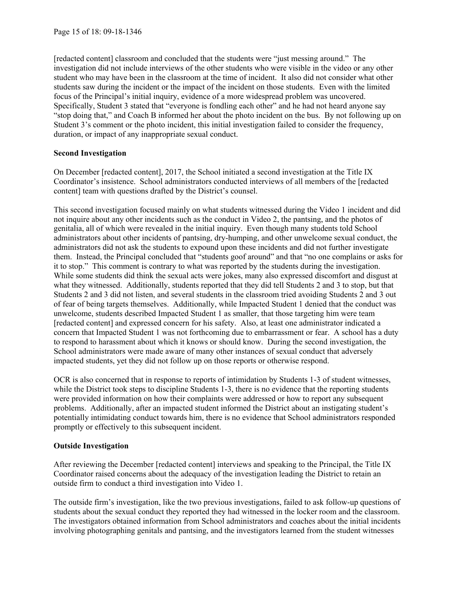[redacted content] classroom and concluded that the students were "just messing around." The investigation did not include interviews of the other students who were visible in the video or any other student who may have been in the classroom at the time of incident. It also did not consider what other students saw during the incident or the impact of the incident on those students. Even with the limited focus of the Principal's initial inquiry, evidence of a more widespread problem was uncovered. Specifically, Student 3 stated that "everyone is fondling each other" and he had not heard anyone say "stop doing that," and Coach B informed her about the photo incident on the bus. By not following up on Student 3's comment or the photo incident, this initial investigation failed to consider the frequency, duration, or impact of any inappropriate sexual conduct.

## **Second Investigation**

On December [redacted content], 2017, the School initiated a second investigation at the Title IX Coordinator's insistence. School administrators conducted interviews of all members of the [redacted content] team with questions drafted by the District's counsel.

This second investigation focused mainly on what students witnessed during the Video 1 incident and did not inquire about any other incidents such as the conduct in Video 2, the pantsing, and the photos of genitalia, all of which were revealed in the initial inquiry. Even though many students told School administrators about other incidents of pantsing, dry-humping, and other unwelcome sexual conduct, the administrators did not ask the students to expound upon these incidents and did not further investigate them. Instead, the Principal concluded that "students goof around" and that "no one complains or asks for it to stop." This comment is contrary to what was reported by the students during the investigation. While some students did think the sexual acts were jokes, many also expressed discomfort and disgust at what they witnessed. Additionally, students reported that they did tell Students 2 and 3 to stop, but that Students 2 and 3 did not listen, and several students in the classroom tried avoiding Students 2 and 3 out of fear of being targets themselves. Additionally, while Impacted Student 1 denied that the conduct was unwelcome, students described Impacted Student 1 as smaller, that those targeting him were team [redacted content] and expressed concern for his safety. Also, at least one administrator indicated a concern that Impacted Student 1 was not forthcoming due to embarrassment or fear. A school has a duty to respond to harassment about which it knows or should know. During the second investigation, the School administrators were made aware of many other instances of sexual conduct that adversely impacted students, yet they did not follow up on those reports or otherwise respond.

OCR is also concerned that in response to reports of intimidation by Students 1-3 of student witnesses, while the District took steps to discipline Students 1-3, there is no evidence that the reporting students were provided information on how their complaints were addressed or how to report any subsequent problems. Additionally, after an impacted student informed the District about an instigating student's potentially intimidating conduct towards him, there is no evidence that School administrators responded promptly or effectively to this subsequent incident.

# **Outside Investigation**

After reviewing the December [redacted content] interviews and speaking to the Principal, the Title IX Coordinator raised concerns about the adequacy of the investigation leading the District to retain an outside firm to conduct a third investigation into Video 1.

The outside firm's investigation, like the two previous investigations, failed to ask follow-up questions of students about the sexual conduct they reported they had witnessed in the locker room and the classroom. The investigators obtained information from School administrators and coaches about the initial incidents involving photographing genitals and pantsing, and the investigators learned from the student witnesses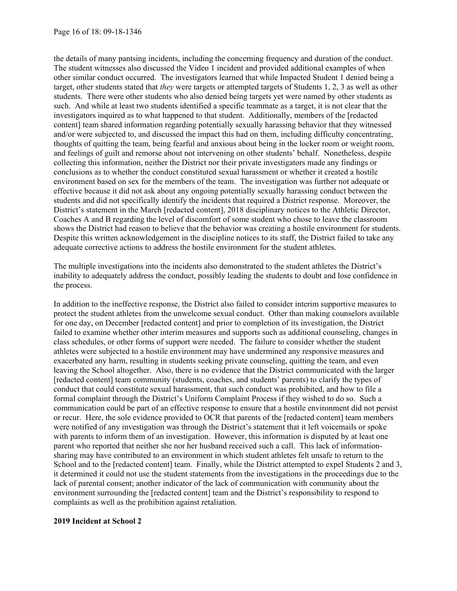the details of many pantsing incidents, including the concerning frequency and duration of the conduct. The student witnesses also discussed the Video 1 incident and provided additional examples of when other similar conduct occurred. The investigators learned that while Impacted Student 1 denied being a target, other students stated that *they* were targets or attempted targets of Students 1, 2, 3 as well as other students. There were other students who also denied being targets yet were named by other students as such. And while at least two students identified a specific teammate as a target, it is not clear that the investigators inquired as to what happened to that student. Additionally, members of the [redacted content] team shared information regarding potentially sexually harassing behavior that they witnessed and/or were subjected to, and discussed the impact this had on them, including difficulty concentrating, thoughts of quitting the team, being fearful and anxious about being in the locker room or weight room, and feelings of guilt and remorse about not intervening on other students' behalf. Nonetheless, despite collecting this information, neither the District nor their private investigators made any findings or conclusions as to whether the conduct constituted sexual harassment or whether it created a hostile environment based on sex for the members of the team. The investigation was further not adequate or effective because it did not ask about any ongoing potentially sexually harassing conduct between the students and did not specifically identify the incidents that required a District response. Moreover, the District's statement in the March [redacted content], 2018 disciplinary notices to the Athletic Director, Coaches A and B regarding the level of discomfort of some student who chose to leave the classroom shows the District had reason to believe that the behavior was creating a hostile environment for students. Despite this written acknowledgement in the discipline notices to its staff, the District failed to take any adequate corrective actions to address the hostile environment for the student athletes.

The multiple investigations into the incidents also demonstrated to the student athletes the District's inability to adequately address the conduct, possibly leading the students to doubt and lose confidence in the process.

In addition to the ineffective response, the District also failed to consider interim supportive measures to protect the student athletes from the unwelcome sexual conduct. Other than making counselors available for one day, on December [redacted content] and prior to completion of its investigation, the District failed to examine whether other interim measures and supports such as additional counseling, changes in class schedules, or other forms of support were needed. The failure to consider whether the student athletes were subjected to a hostile environment may have undermined any responsive measures and exacerbated any harm, resulting in students seeking private counseling, quitting the team, and even leaving the School altogether. Also, there is no evidence that the District communicated with the larger [redacted content] team community (students, coaches, and students' parents) to clarify the types of conduct that could constitute sexual harassment, that such conduct was prohibited, and how to file a formal complaint through the District's Uniform Complaint Process if they wished to do so. Such a communication could be part of an effective response to ensure that a hostile environment did not persist or recur. Here, the sole evidence provided to OCR that parents of the [redacted content] team members were notified of any investigation was through the District's statement that it left voicemails or spoke with parents to inform them of an investigation. However, this information is disputed by at least one parent who reported that neither she nor her husband received such a call. This lack of informationsharing may have contributed to an environment in which student athletes felt unsafe to return to the School and to the [redacted content] team. Finally, while the District attempted to expel Students 2 and 3, it determined it could not use the student statements from the investigations in the proceedings due to the lack of parental consent; another indicator of the lack of communication with community about the environment surrounding the [redacted content] team and the District's responsibility to respond to complaints as well as the prohibition against retaliation.

#### **2019 Incident at School 2**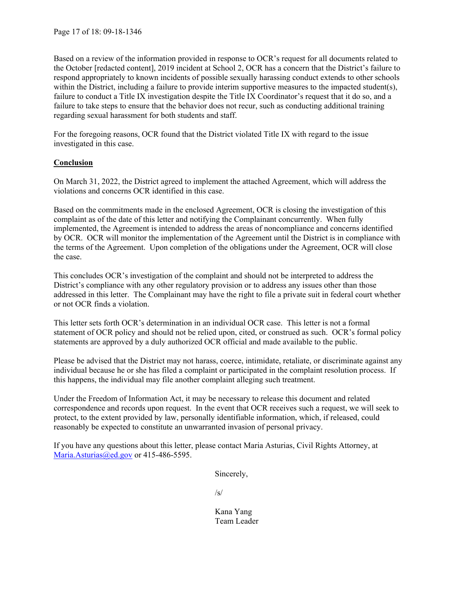Based on a review of the information provided in response to OCR's request for all documents related to the October [redacted content], 2019 incident at School 2, OCR has a concern that the District's failure to respond appropriately to known incidents of possible sexually harassing conduct extends to other schools within the District, including a failure to provide interim supportive measures to the impacted student(s), failure to conduct a Title IX investigation despite the Title IX Coordinator's request that it do so, and a failure to take steps to ensure that the behavior does not recur, such as conducting additional training regarding sexual harassment for both students and staff.

For the foregoing reasons, OCR found that the District violated Title IX with regard to the issue investigated in this case.

# **Conclusion**

On March 31, 2022, the District agreed to implement the attached Agreement, which will address the violations and concerns OCR identified in this case.

Based on the commitments made in the enclosed Agreement, OCR is closing the investigation of this complaint as of the date of this letter and notifying the Complainant concurrently. When fully implemented, the Agreement is intended to address the areas of noncompliance and concerns identified by OCR. OCR will monitor the implementation of the Agreement until the District is in compliance with the terms of the Agreement. Upon completion of the obligations under the Agreement, OCR will close the case.

This concludes OCR's investigation of the complaint and should not be interpreted to address the District's compliance with any other regulatory provision or to address any issues other than those addressed in this letter. The Complainant may have the right to file a private suit in federal court whether or not OCR finds a violation.

This letter sets forth OCR's determination in an individual OCR case. This letter is not a formal statement of OCR policy and should not be relied upon, cited, or construed as such. OCR's formal policy statements are approved by a duly authorized OCR official and made available to the public.

Please be advised that the District may not harass, coerce, intimidate, retaliate, or discriminate against any individual because he or she has filed a complaint or participated in the complaint resolution process. If this happens, the individual may file another complaint alleging such treatment.

Under the Freedom of Information Act, it may be necessary to release this document and related correspondence and records upon request. In the event that OCR receives such a request, we will seek to protect, to the extent provided by law, personally identifiable information, which, if released, could reasonably be expected to constitute an unwarranted invasion of personal privacy.

If you have any questions about this letter, please contact Maria Asturias, Civil Rights Attorney, at Maria.Asturias@ed.gov or 415-486-5595.

Sincerely,

 $\sqrt{s}$ /s/

 Kana Yang Team Leader